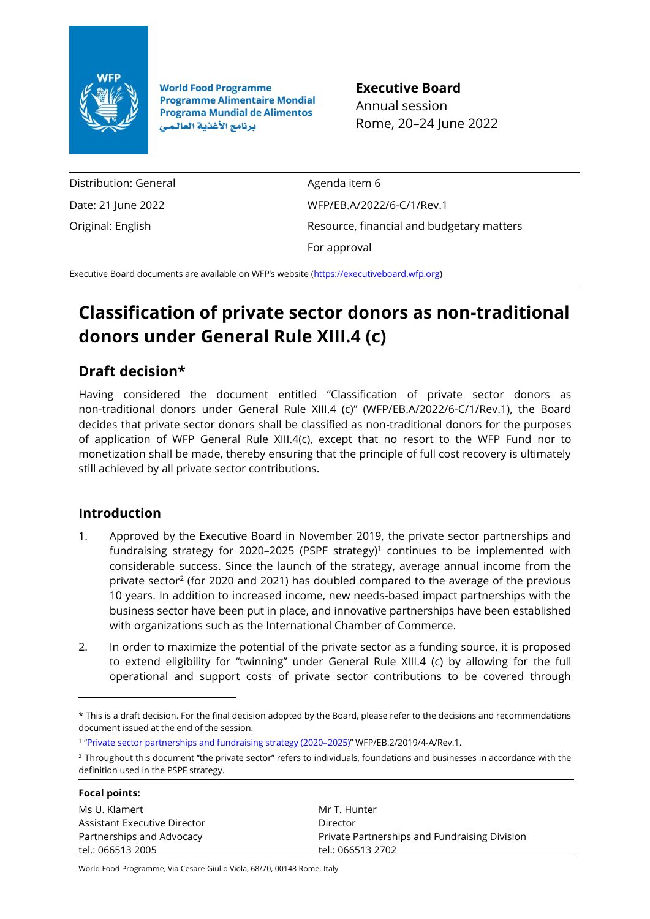

**World Food Programme Programme Alimentaire Mondial Programa Mundial de Alimentos** برنامج الأغذية العالمي

**Executive Board** Annual session Rome, 20–24 June 2022

Distribution: General Date: 21 June 2022 Original: English

Agenda item 6 WFP/EB.A/2022/6-C/1/Rev.1 Resource, financial and budgetary matters For approval

Executive Board documents are available on WFP's website ([https://executiveboard.wfp.org\)](https://executiveboard.wfp.org/)

# **Classification of private sector donors as non-traditional donors under General Rule XIII.4 (c)**

## **Draft decision\***

Having considered the document entitled "Classification of private sector donors as non-traditional donors under General Rule XIII.4 (c)" (WFP/EB.A/2022/6-C/1/Rev.1), the Board decides that private sector donors shall be classified as non-traditional donors for the purposes of application of WFP General Rule XIII.4(c), except that no resort to the WFP Fund nor to monetization shall be made, thereby ensuring that the principle of full cost recovery is ultimately still achieved by all private sector contributions.

### **Introduction**

- 1. Approved by the Executive Board in November 2019, the private sector partnerships and fundraising strategy for 2020-2025 (PSPF strategy)<sup>1</sup> continues to be implemented with considerable success. Since the launch of the strategy, average annual income from the private sector<sup>2</sup> (for 2020 and 2021) has doubled compared to the average of the previous 10 years. In addition to increased income, new needs-based impact partnerships with the business sector have been put in place, and innovative partnerships have been established with organizations such as the International Chamber of Commerce.
- 2. In order to maximize the potential of the private sector as a funding source, it is proposed to extend eligibility for "twinning" under General Rule XIII.4 (c) by allowing for the full operational and support costs of private sector contributions to be covered through

<sup>&</sup>lt;sup>2</sup> Throughout this document "the private sector" refers to individuals, foundations and businesses in accordance with the definition used in the PSPF strategy.

| <b>Focal points:</b>         |                                               |
|------------------------------|-----------------------------------------------|
| Ms U. Klamert                | Mr T. Hunter                                  |
| Assistant Executive Director | Director                                      |
| Partnerships and Advocacy    | Private Partnerships and Fundraising Division |
| tel.: 066513 2005            | tel.: 066513 2702                             |
|                              |                                               |

World Food Programme, Via Cesare Giulio Viola, 68/70, 00148 Rome, Italy

<sup>\*</sup> This is a draft decision. For the final decision adopted by the Board, please refer to the decisions and recommendations document issued at the end of the session.

<sup>1</sup> "[Private sector partnerships and fundraising strategy \(2020](https://executiveboard.wfp.org/document_download/WFP-0000108549)–2025)" WFP/EB.2/2019/4-A/Rev.1.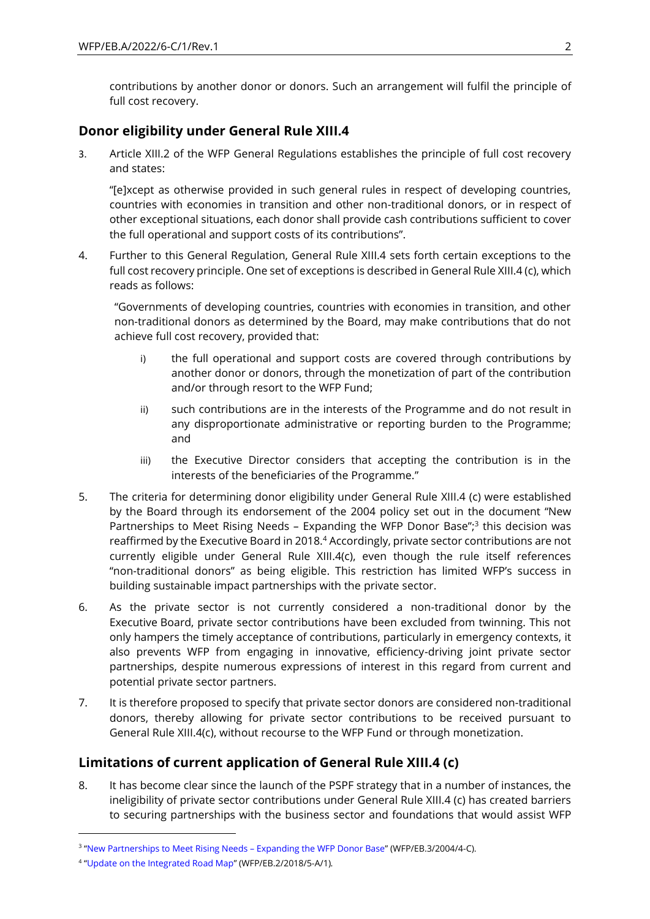contributions by another donor or donors. Such an arrangement will fulfil the principle of full cost recovery.

### **Donor eligibility under General Rule XIII.4**

3. Article XIII.2 of the WFP General Regulations establishes the principle of full cost recovery and states:

"[e]xcept as otherwise provided in such general rules in respect of developing countries, countries with economies in transition and other non-traditional donors, or in respect of other exceptional situations, each donor shall provide cash contributions sufficient to cover the full operational and support costs of its contributions".

4. Further to this General Regulation, General Rule XIII.4 sets forth certain exceptions to the full cost recovery principle. One set of exceptions is described in General Rule XIII.4 (c), which reads as follows:

"Governments of developing countries, countries with economies in transition, and other non-traditional donors as determined by the Board, may make contributions that do not achieve full cost recovery, provided that:

- i) the full operational and support costs are covered through contributions by another donor or donors, through the monetization of part of the contribution and/or through resort to the WFP Fund;
- ii) such contributions are in the interests of the Programme and do not result in any disproportionate administrative or reporting burden to the Programme; and
- iii) the Executive Director considers that accepting the contribution is in the interests of the beneficiaries of the Programme."
- 5. The criteria for determining donor eligibility under General Rule XIII.4 (c) were established by the Board through its endorsement of the 2004 policy set out in the document "New Partnerships to Meet Rising Needs - Expanding the WFP Donor Base";<sup>3</sup> this decision was reaffirmed by the Executive Board in 2018.<sup>4</sup> Accordingly, private sector contributions are not currently eligible under General Rule XIII.4(c), even though the rule itself references "non-traditional donors" as being eligible. This restriction has limited WFP's success in building sustainable impact partnerships with the private sector.
- 6. As the private sector is not currently considered a non-traditional donor by the Executive Board, private sector contributions have been excluded from twinning. This not only hampers the timely acceptance of contributions, particularly in emergency contexts, it also prevents WFP from engaging in innovative, efficiency-driving joint private sector partnerships, despite numerous expressions of interest in this regard from current and potential private sector partners.
- 7. It is therefore proposed to specify that private sector donors are considered non-traditional donors, thereby allowing for private sector contributions to be received pursuant to General Rule XIII.4(c), without recourse to the WFP Fund or through monetization.

### **Limitations of current application of General Rule XIII.4 (c)**

8. It has become clear since the launch of the PSPF strategy that in a number of instances, the ineligibility of private sector contributions under General Rule XIII.4 (c) has created barriers to securing partnerships with the business sector and foundations that would assist WFP

<sup>&</sup>lt;sup>3</sup> "[New Partnerships to Meet Rising Needs](https://executiveboard.wfp.org/document_download/WFP-0000029805) – Expanding the WFP Donor Base" (WFP/EB.3/2004/4-C).

<sup>4</sup> "[Update on the Integrated Road Map](https://executiveboard.wfp.org/document_download/WFP-0000099355)" (WFP/EB.2/2018/5-A/1)*.*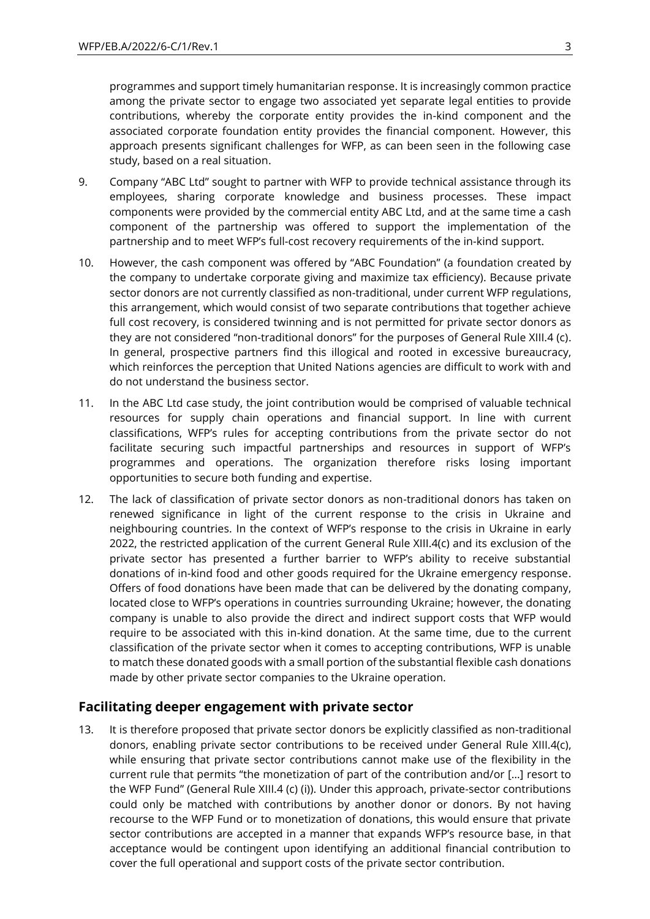programmes and support timely humanitarian response. It is increasingly common practice among the private sector to engage two associated yet separate legal entities to provide contributions, whereby the corporate entity provides the in-kind component and the associated corporate foundation entity provides the financial component. However, this approach presents significant challenges for WFP, as can been seen in the following case study, based on a real situation.

- 9. Company "ABC Ltd" sought to partner with WFP to provide technical assistance through its employees, sharing corporate knowledge and business processes. These impact components were provided by the commercial entity ABC Ltd, and at the same time a cash component of the partnership was offered to support the implementation of the partnership and to meet WFP's full-cost recovery requirements of the in-kind support.
- 10. However, the cash component was offered by "ABC Foundation" (a foundation created by the company to undertake corporate giving and maximize tax efficiency). Because private sector donors are not currently classified as non-traditional, under current WFP regulations, this arrangement, which would consist of two separate contributions that together achieve full cost recovery, is considered twinning and is not permitted for private sector donors as they are not considered "non-traditional donors" for the purposes of General Rule XIII.4 (c). In general, prospective partners find this illogical and rooted in excessive bureaucracy, which reinforces the perception that United Nations agencies are difficult to work with and do not understand the business sector.
- 11. In the ABC Ltd case study, the joint contribution would be comprised of valuable technical resources for supply chain operations and financial support. In line with current classifications, WFP's rules for accepting contributions from the private sector do not facilitate securing such impactful partnerships and resources in support of WFP's programmes and operations. The organization therefore risks losing important opportunities to secure both funding and expertise.
- 12. The lack of classification of private sector donors as non-traditional donors has taken on renewed significance in light of the current response to the crisis in Ukraine and neighbouring countries. In the context of WFP's response to the crisis in Ukraine in early 2022, the restricted application of the current General Rule XIII.4(c) and its exclusion of the private sector has presented a further barrier to WFP's ability to receive substantial donations of in-kind food and other goods required for the Ukraine emergency response. Offers of food donations have been made that can be delivered by the donating company, located close to WFP's operations in countries surrounding Ukraine; however, the donating company is unable to also provide the direct and indirect support costs that WFP would require to be associated with this in-kind donation. At the same time, due to the current classification of the private sector when it comes to accepting contributions, WFP is unable to match these donated goods with a small portion of the substantial flexible cash donations made by other private sector companies to the Ukraine operation.

#### **Facilitating deeper engagement with private sector**

13. It is therefore proposed that private sector donors be explicitly classified as non-traditional donors, enabling private sector contributions to be received under General Rule XIII.4(c), while ensuring that private sector contributions cannot make use of the flexibility in the current rule that permits "the monetization of part of the contribution and/or […] resort to the WFP Fund" (General Rule XIII.4 (c) (i)). Under this approach, private-sector contributions could only be matched with contributions by another donor or donors. By not having recourse to the WFP Fund or to monetization of donations, this would ensure that private sector contributions are accepted in a manner that expands WFP's resource base, in that acceptance would be contingent upon identifying an additional financial contribution to cover the full operational and support costs of the private sector contribution.